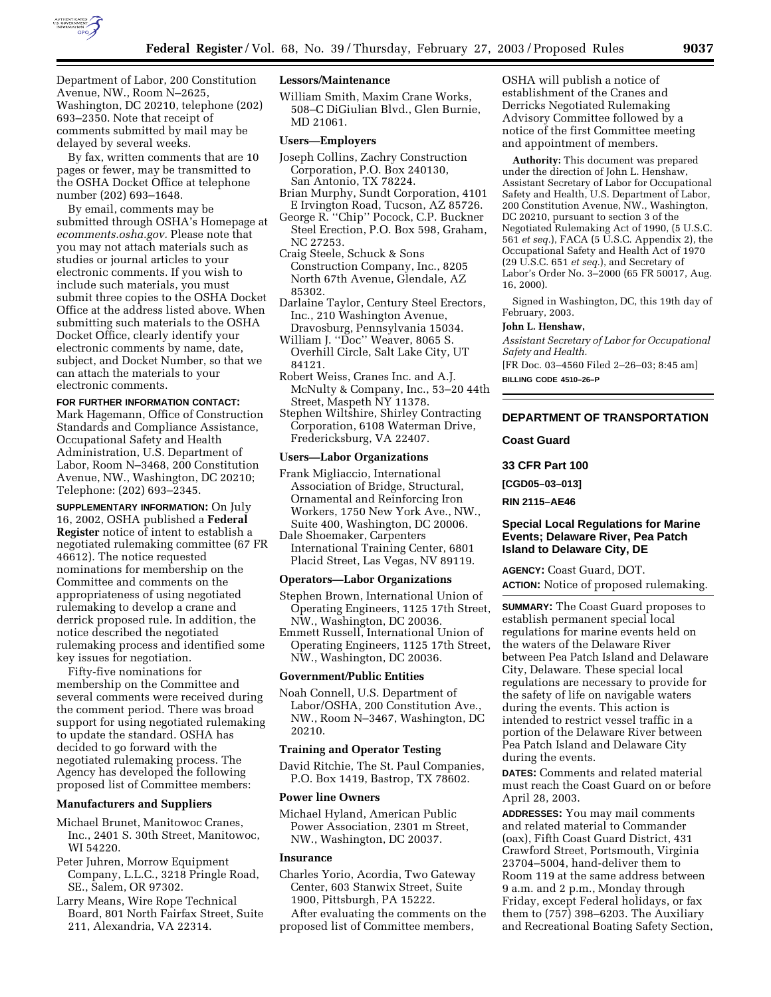

Department of Labor, 200 Constitution Avenue, NW., Room N–2625, Washington, DC 20210, telephone (202) 693–2350. Note that receipt of comments submitted by mail may be delayed by several weeks.

By fax, written comments that are 10 pages or fewer, may be transmitted to the OSHA Docket Office at telephone number (202) 693–1648.

By email, comments may be submitted through OSHA's Homepage at *ecomments.osha.gov.* Please note that you may not attach materials such as studies or journal articles to your electronic comments. If you wish to include such materials, you must submit three copies to the OSHA Docket Office at the address listed above. When submitting such materials to the OSHA Docket Office, clearly identify your electronic comments by name, date, subject, and Docket Number, so that we can attach the materials to your electronic comments.

# **FOR FURTHER INFORMATION CONTACT:**

Mark Hagemann, Office of Construction Standards and Compliance Assistance, Occupational Safety and Health Administration, U.S. Department of Labor, Room N–3468, 200 Constitution Avenue, NW., Washington, DC 20210; Telephone: (202) 693–2345.

**SUPPLEMENTARY INFORMATION:** On July 16, 2002, OSHA published a **Federal Register** notice of intent to establish a negotiated rulemaking committee (67 FR 46612). The notice requested nominations for membership on the Committee and comments on the appropriateness of using negotiated rulemaking to develop a crane and derrick proposed rule. In addition, the notice described the negotiated rulemaking process and identified some key issues for negotiation.

Fifty-five nominations for membership on the Committee and several comments were received during the comment period. There was broad support for using negotiated rulemaking to update the standard. OSHA has decided to go forward with the negotiated rulemaking process. The Agency has developed the following proposed list of Committee members:

#### **Manufacturers and Suppliers**

- Michael Brunet, Manitowoc Cranes, Inc., 2401 S. 30th Street, Manitowoc, WI 54220.
- Peter Juhren, Morrow Equipment Company, L.L.C., 3218 Pringle Road, SE., Salem, OR 97302.

Larry Means, Wire Rope Technical Board, 801 North Fairfax Street, Suite 211, Alexandria, VA 22314.

# **Lessors/Maintenance**

William Smith, Maxim Crane Works, 508–C DiGiulian Blvd., Glen Burnie, MD 21061.

#### **Users—Employers**

- Joseph Collins, Zachry Construction Corporation, P.O. Box 240130, San Antonio, TX 78224.
- Brian Murphy, Sundt Corporation, 4101 E Irvington Road, Tucson, AZ 85726.
- George R. ''Chip'' Pocock, C.P. Buckner Steel Erection, P.O. Box 598, Graham, NC 27253.
- Craig Steele, Schuck & Sons Construction Company, Inc., 8205 North 67th Avenue, Glendale, AZ 85302.
- Darlaine Taylor, Century Steel Erectors, Inc., 210 Washington Avenue, Dravosburg, Pennsylvania 15034.
- William J. "Doc" Weaver, 8065 S. Overhill Circle, Salt Lake City, UT 84121.
- Robert Weiss, Cranes Inc. and A.J. McNulty & Company, Inc., 53–20 44th Street, Maspeth NY 11378.
- Stephen Wiltshire, Shirley Contracting Corporation, 6108 Waterman Drive, Fredericksburg, VA 22407.

# **Users—Labor Organizations**

- Frank Migliaccio, International Association of Bridge, Structural, Ornamental and Reinforcing Iron Workers, 1750 New York Ave., NW., Suite 400, Washington, DC 20006.
- Dale Shoemaker, Carpenters International Training Center, 6801 Placid Street, Las Vegas, NV 89119.

#### **Operators—Labor Organizations**

Stephen Brown, International Union of Operating Engineers, 1125 17th Street, NW., Washington, DC 20036.

Emmett Russell, International Union of Operating Engineers, 1125 17th Street, NW., Washington, DC 20036.

#### **Government/Public Entities**

Noah Connell, U.S. Department of Labor/OSHA, 200 Constitution Ave., NW., Room N–3467, Washington, DC 20210.

#### **Training and Operator Testing**

David Ritchie, The St. Paul Companies, P.O. Box 1419, Bastrop, TX 78602.

#### **Power line Owners**

Michael Hyland, American Public Power Association, 2301 m Street, NW., Washington, DC 20037.

#### **Insurance**

Charles Yorio, Acordia, Two Gateway Center, 603 Stanwix Street, Suite 1900, Pittsburgh, PA 15222.

After evaluating the comments on the proposed list of Committee members,

OSHA will publish a notice of establishment of the Cranes and Derricks Negotiated Rulemaking Advisory Committee followed by a notice of the first Committee meeting and appointment of members.

**Authority:** This document was prepared under the direction of John L. Henshaw, Assistant Secretary of Labor for Occupational Safety and Health, U.S. Department of Labor, 200 Constitution Avenue, NW., Washington, DC 20210, pursuant to section 3 of the Negotiated Rulemaking Act of 1990, (5 U.S.C. 561 *et seq.*), FACA (5 U.S.C. Appendix 2), the Occupational Safety and Health Act of 1970 (29 U.S.C. 651 *et seq.*), and Secretary of Labor's Order No. 3–2000 (65 FR 50017, Aug. 16, 2000).

Signed in Washington, DC, this 19th day of February, 2003.

#### **John L. Henshaw,**

*Assistant Secretary of Labor for Occupational Safety and Health.*

[FR Doc. 03–4560 Filed 2–26–03; 8:45 am] **BILLING CODE 4510–26–P**

**DEPARTMENT OF TRANSPORTATION**

# **Coast Guard**

**33 CFR Part 100** 

**[CGD05–03–013]** 

**RIN 2115–AE46** 

# **Special Local Regulations for Marine Events; Delaware River, Pea Patch Island to Delaware City, DE**

**AGENCY:** Coast Guard, DOT.

**ACTION:** Notice of proposed rulemaking.

**SUMMARY:** The Coast Guard proposes to establish permanent special local regulations for marine events held on the waters of the Delaware River between Pea Patch Island and Delaware City, Delaware. These special local regulations are necessary to provide for the safety of life on navigable waters during the events. This action is intended to restrict vessel traffic in a portion of the Delaware River between Pea Patch Island and Delaware City during the events.

**DATES:** Comments and related material must reach the Coast Guard on or before April 28, 2003.

**ADDRESSES:** You may mail comments and related material to Commander (oax), Fifth Coast Guard District, 431 Crawford Street, Portsmouth, Virginia 23704–5004, hand-deliver them to Room 119 at the same address between 9 a.m. and 2 p.m., Monday through Friday, except Federal holidays, or fax them to (757) 398–6203. The Auxiliary and Recreational Boating Safety Section,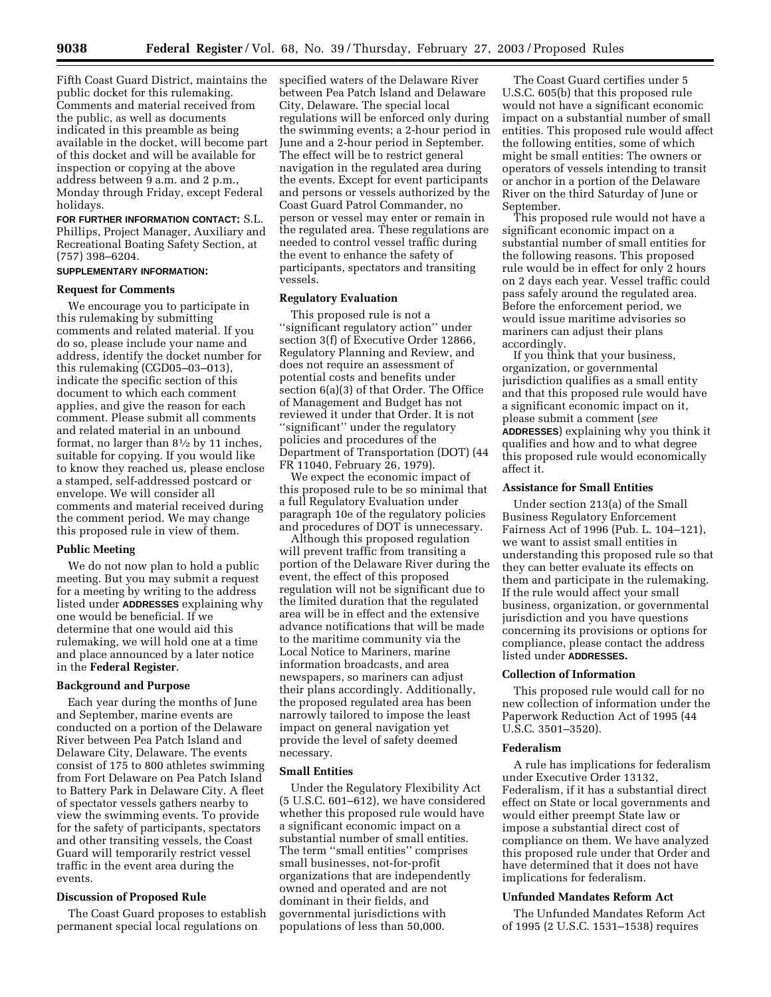Fifth Coast Guard District, maintains the public docket for this rulemaking. Comments and material received from the public, as well as documents indicated in this preamble as being available in the docket, will become part of this docket and will be available for inspection or copying at the above address between 9 a.m. and 2 p.m., Monday through Friday, except Federal holidays.

**FOR FURTHER INFORMATION CONTACT:** S.L. Phillips, Project Manager, Auxiliary and Recreational Boating Safety Section, at (757) 398–6204.

# **SUPPLEMENTARY INFORMATION:**

# **Request for Comments**

We encourage you to participate in this rulemaking by submitting comments and related material. If you do so, please include your name and address, identify the docket number for this rulemaking (CGD05–03–013), indicate the specific section of this document to which each comment applies, and give the reason for each comment. Please submit all comments and related material in an unbound format, no larger than 81⁄2 by 11 inches, suitable for copying. If you would like to know they reached us, please enclose a stamped, self-addressed postcard or envelope. We will consider all comments and material received during the comment period. We may change this proposed rule in view of them.

# **Public Meeting**

We do not now plan to hold a public meeting. But you may submit a request for a meeting by writing to the address listed under **ADDRESSES** explaining why one would be beneficial. If we determine that one would aid this rulemaking, we will hold one at a time and place announced by a later notice in the **Federal Register**.

# **Background and Purpose**

Each year during the months of June and September, marine events are conducted on a portion of the Delaware River between Pea Patch Island and Delaware City, Delaware. The events consist of 175 to 800 athletes swimming from Fort Delaware on Pea Patch Island to Battery Park in Delaware City. A fleet of spectator vessels gathers nearby to view the swimming events. To provide for the safety of participants, spectators and other transiting vessels, the Coast Guard will temporarily restrict vessel traffic in the event area during the events.

#### **Discussion of Proposed Rule**

The Coast Guard proposes to establish permanent special local regulations on

specified waters of the Delaware River between Pea Patch Island and Delaware City, Delaware. The special local regulations will be enforced only during the swimming events; a 2-hour period in June and a 2-hour period in September. The effect will be to restrict general navigation in the regulated area during the events. Except for event participants and persons or vessels authorized by the Coast Guard Patrol Commander, no person or vessel may enter or remain in the regulated area. These regulations are needed to control vessel traffic during the event to enhance the safety of participants, spectators and transiting vessels.

# **Regulatory Evaluation**

This proposed rule is not a ''significant regulatory action'' under section 3(f) of Executive Order 12866, Regulatory Planning and Review, and does not require an assessment of potential costs and benefits under section 6(a)(3) of that Order. The Office of Management and Budget has not reviewed it under that Order. It is not ''significant'' under the regulatory policies and procedures of the Department of Transportation (DOT) (44 FR 11040, February 26, 1979).

We expect the economic impact of this proposed rule to be so minimal that a full Regulatory Evaluation under paragraph 10e of the regulatory policies and procedures of DOT is unnecessary.

Although this proposed regulation will prevent traffic from transiting a portion of the Delaware River during the event, the effect of this proposed regulation will not be significant due to the limited duration that the regulated area will be in effect and the extensive advance notifications that will be made to the maritime community via the Local Notice to Mariners, marine information broadcasts, and area newspapers, so mariners can adjust their plans accordingly. Additionally, the proposed regulated area has been narrowly tailored to impose the least impact on general navigation yet provide the level of safety deemed necessary.

### **Small Entities**

Under the Regulatory Flexibility Act (5 U.S.C. 601–612), we have considered whether this proposed rule would have a significant economic impact on a substantial number of small entities. The term ''small entities'' comprises small businesses, not-for-profit organizations that are independently owned and operated and are not dominant in their fields, and governmental jurisdictions with populations of less than 50,000.

The Coast Guard certifies under 5 U.S.C. 605(b) that this proposed rule would not have a significant economic impact on a substantial number of small entities. This proposed rule would affect the following entities, some of which might be small entities: The owners or operators of vessels intending to transit or anchor in a portion of the Delaware River on the third Saturday of June or September.

This proposed rule would not have a significant economic impact on a substantial number of small entities for the following reasons. This proposed rule would be in effect for only 2 hours on 2 days each year. Vessel traffic could pass safely around the regulated area. Before the enforcement period, we would issue maritime advisories so mariners can adjust their plans accordingly.

If you think that your business, organization, or governmental jurisdiction qualifies as a small entity and that this proposed rule would have a significant economic impact on it, please submit a comment (*see* **ADDRESSES**) explaining why you think it qualifies and how and to what degree this proposed rule would economically affect it.

## **Assistance for Small Entities**

Under section 213(a) of the Small Business Regulatory Enforcement Fairness Act of 1996 (Pub. L. 104–121), we want to assist small entities in understanding this proposed rule so that they can better evaluate its effects on them and participate in the rulemaking. If the rule would affect your small business, organization, or governmental jurisdiction and you have questions concerning its provisions or options for compliance, please contact the address listed under **ADDRESSES.**

#### **Collection of Information**

This proposed rule would call for no new collection of information under the Paperwork Reduction Act of 1995 (44 U.S.C. 3501–3520).

#### **Federalism**

A rule has implications for federalism under Executive Order 13132, Federalism, if it has a substantial direct effect on State or local governments and would either preempt State law or impose a substantial direct cost of compliance on them. We have analyzed this proposed rule under that Order and have determined that it does not have implications for federalism.

#### **Unfunded Mandates Reform Act**

The Unfunded Mandates Reform Act of 1995 (2 U.S.C. 1531–1538) requires